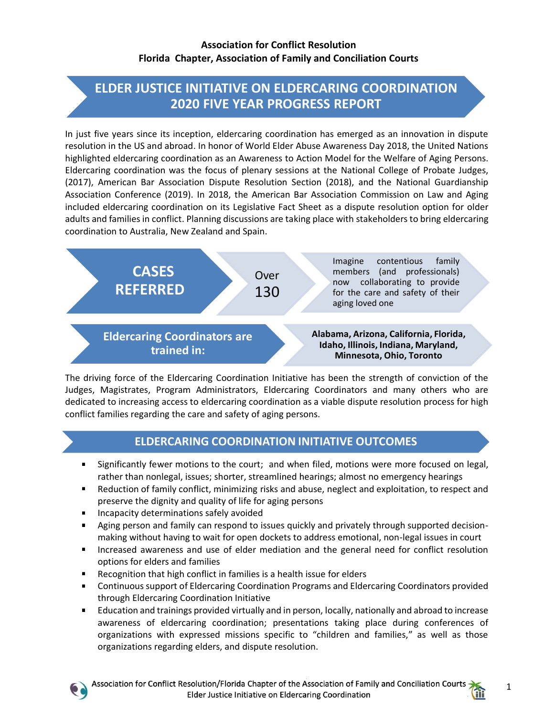## **ELDER JUSTICE INITIATIVE ON ELDERCARING COORDINATION 2020 FIVE YEAR PROGRESS REPORT**

In just five years since its inception, eldercaring coordination has emerged as an innovation in dispute resolution in the US and abroad. In honor of World Elder Abuse Awareness Day 2018, the United Nations highlighted eldercaring coordination as an Awareness to Action Model for the Welfare of Aging Persons. Eldercaring coordination was the focus of plenary sessions at the National College of Probate Judges, (2017), American Bar Association Dispute Resolution Section (2018), and the National Guardianship Association Conference (2019). In 2018, the American Bar Association Commission on Law and Aging included eldercaring coordination on its Legislative Fact Sheet as a dispute resolution option for older adults and families in conflict. Planning discussions are taking place with stakeholders to bring eldercaring coordination to Australia, New Zealand and Spain.



The driving force of the Eldercaring Coordination Initiative has been the strength of conviction of the Judges, Magistrates, Program Administrators, Eldercaring Coordinators and many others who are dedicated to increasing access to eldercaring coordination as a viable dispute resolution process for high conflict families regarding the care and safety of aging persons.

## **ELDERCARING COORDINATION INITIATIVE OUTCOMES**

- $\blacksquare$ Significantly fewer motions to the court; and when filed, motions were more focused on legal, rather than nonlegal, issues; shorter, streamlined hearings; almost no emergency hearings
- Reduction of family conflict, minimizing risks and abuse, neglect and exploitation, to respect and preserve the dignity and quality of life for aging persons
- Incapacity determinations safely avoided
- Aging person and family can respond to issues quickly and privately through supported decisionmaking without having to wait for open dockets to address emotional, non-legal issues in court
- **Increased awareness and use of elder mediation and the general need for conflict resolution** options for elders and families
- Recognition that high conflict in families is a health issue for elders
- **Continuous support of Eldercaring Coordination Programs and Eldercaring Coordinators provided** through Eldercaring Coordination Initiative
- Education and trainings provided virtually and in person, locally, nationally and abroad to increase awareness of eldercaring coordination; presentations taking place during conferences of organizations with expressed missions specific to "children and families," as well as those organizations regarding elders, and dispute resolution.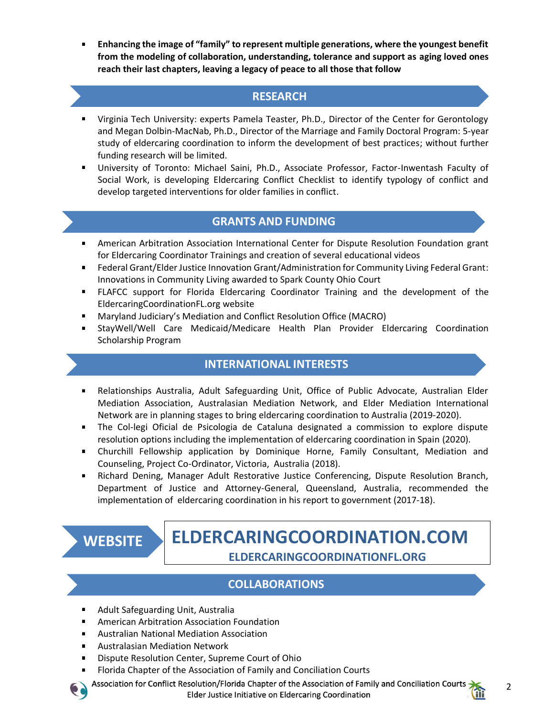**Enhancing the image of "family" to represent multiple generations, where the youngest benefit from the modeling of collaboration, understanding, tolerance and support as aging loved ones reach their last chapters, leaving a legacy of peace to all those that follow**

## **RESEARCH**

- Virginia Tech University: experts Pamela Teaster, Ph.D., Director of the Center for Gerontology and Megan Dolbin-MacNab, Ph.D., Director of the Marriage and Family Doctoral Program: 5-year study of eldercaring coordination to inform the development of best practices; without further funding research will be limited.
- University of Toronto: Michael Saini, Ph.D., Associate Professor, Factor-Inwentash Faculty of Social Work, is developing Eldercaring Conflict Checklist to identify typology of conflict and develop targeted interventions for older families in conflict.

## **GRANTS AND FUNDING**

- American Arbitration Association International Center for Dispute Resolution Foundation grant for Eldercaring Coordinator Trainings and creation of several educational videos
- Federal Grant/Elder Justice Innovation Grant/Administration for Community Living Federal Grant: Innovations in Community Living awarded to Spark County Ohio Court
- FLAFCC support for Florida Eldercaring Coordinator Training and the development of the EldercaringCoordinationFL.org website
- Maryland Judiciary's Mediation and Conflict Resolution Office (MACRO)
- StayWell/Well Care Medicaid/Medicare Health Plan Provider Eldercaring Coordination Scholarship Program

## **INTERNATIONAL INTERESTS**

- Relationships Australia, Adult Safeguarding Unit, Office of Public Advocate, Australian Elder  $\mathbf{u}$ Mediation Association, Australasian Mediation Network, and Elder Mediation International Network are in planning stages to bring eldercaring coordination to Australia (2019-2020).
- The Col-legi Oficial de Psicologia de Cataluna designated a commission to explore dispute resolution options including the implementation of eldercaring coordination in Spain (2020).
- Churchill Fellowship application by Dominique Horne, Family Consultant, Mediation and Counseling, Project Co-Ordinator, Victoria, Australia (2018).
- **Richard Dening, Manager Adult Restorative Justice Conferencing, Dispute Resolution Branch,** Department of Justice and Attorney-General, Queensland, Australia, recommended the implementation of eldercaring coordination in his report to government (2017-18).

**WEBSITE**

# **ELDERCARINGCOORDINATION.COM ELDERCARINGCOORDINATIONFL.ORG**

## **COLLABORATIONS**

- Adult Safeguarding Unit, Australia
- American Arbitration Association Foundation
- Australian National Mediation Association
- $\mathbf{E}^{\text{max}}$ Australasian Mediation Network
- Dispute Resolution Center, Supreme Court of Ohio
- Florida Chapter of the Association of Family and Conciliation Courts

Association for Conflict Resolution/Florida Chapter of the Association of Family and Conciliation Courts Elder Justice Initiative on Eldercaring Coordination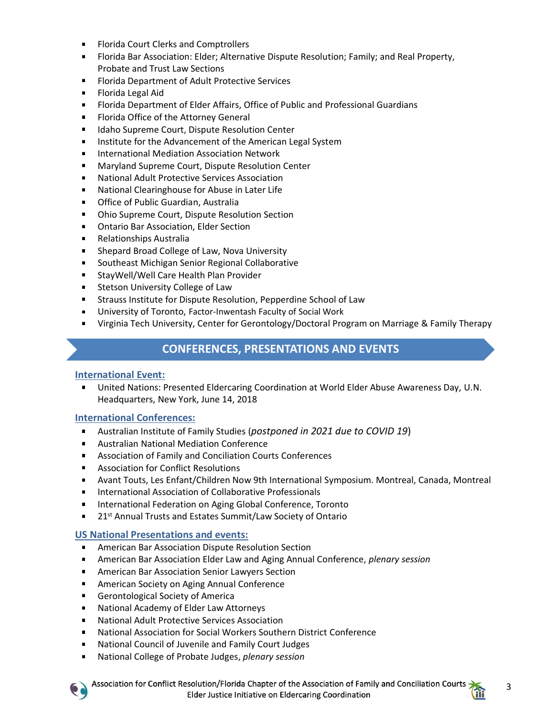- **Florida Court Clerks and Comptrollers**
- Florida Bar Association: Elder; Alternative Dispute Resolution; Family; and Real Property, Probate and Trust Law Sections
- **Florida Department of Adult Protective Services**
- **Florida Legal Aid**
- Florida Department of Elder Affairs, Office of Public and Professional Guardians
- Florida Office of the Attorney General
- **IDALA** Idaho Supreme Court, Dispute Resolution Center
- **IF Institute for the Advancement of the American Legal System**
- International Mediation Association Network  $\blacksquare$
- Maryland Supreme Court, Dispute Resolution Center  $\blacksquare$
- National Adult Protective Services Association  $\mathbf{r}$
- **National Clearinghouse for Abuse in Later Life**
- **The Office of Public Guardian, Australia**
- Ohio Supreme Court, Dispute Resolution Section
- **DRA** Ontario Bar Association, Elder Section
- $\mathbf{r}$ Relationships Australia
- **Shepard Broad College of Law, Nova University**
- **Southeast Michigan Senior Regional Collaborative**
- **StayWell/Well Care Health Plan Provider**
- **EXEC** Stetson University College of Law
- **EXECT:** Strauss Institute for Dispute Resolution, Pepperdine School of Law
- University of Toronto, Factor-Inwentash Faculty of Social Work
- Virginia Tech University, Center for Gerontology/Doctoral Program on Marriage & Family Therapy

#### **CONFERENCES, PRESENTATIONS AND EVENTS**

#### **International Event:**

United Nations: Presented Eldercaring Coordination at World Elder Abuse Awareness Day, U.N. Headquarters, New York, June 14, 2018

#### **International Conferences:**

- Australian Institute of Family Studies (*postponed in 2021 due to COVID 19*)
- Australian National Mediation Conference
- Association of Family and Conciliation Courts Conferences
- **Association for Conflict Resolutions**
- Avant Touts, Les Enfant/Children Now 9th International Symposium. Montreal, Canada, Montreal
- **International Association of Collaborative Professionals**
- **International Federation on Aging Global Conference, Toronto**
- 21<sup>st</sup> Annual Trusts and Estates Summit/Law Society of Ontario

#### **US National Presentations and events:**

- **American Bar Association Dispute Resolution Section**
- American Bar Association Elder Law and Aging Annual Conference, *plenary session*
- **American Bar Association Senior Lawyers Section**
- **American Society on Aging Annual Conference**
- **Gerontological Society of America**
- National Academy of Elder Law Attorneys
- $\mathbf{r}$ National Adult Protective Services Association
- National Association for Social Workers Southern District Conference  $\mathbf{r}$
- National Council of Juvenile and Family Court Judges
- National College of Probate Judges, *plenary session*
	- Association for Conflict Resolution/Florida Chapter of the Association of Family and Conciliation Courts Elder Justice Initiative on Eldercaring Coordination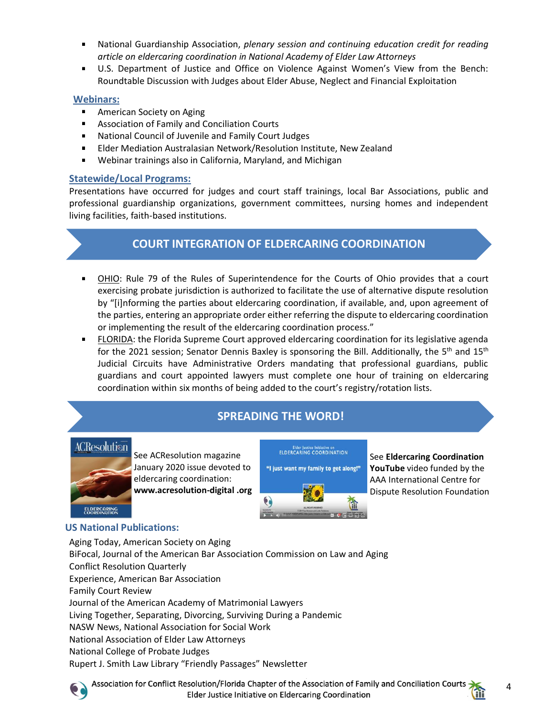- National Guardianship Association, *plenary session and continuing education credit for reading article on eldercaring coordination in National Academy of Elder Law Attorneys*
- U.S. Department of Justice and Office on Violence Against Women's View from the Bench: Roundtable Discussion with Judges about Elder Abuse, Neglect and Financial Exploitation

#### **Webinars:**

- **American Society on Aging**
- **Association of Family and Conciliation Courts**
- **National Council of Juvenile and Family Court Judges**
- Elder Mediation Australasian Network/Resolution Institute, New Zealand
- Webinar trainings also in California, Maryland, and Michigan  $\blacksquare$

#### **Statewide/Local Programs:**

Presentations have occurred for judges and court staff trainings, local Bar Associations, public and professional guardianship organizations, government committees, nursing homes and independent living facilities, faith-based institutions.

## **COURT INTEGRATION OF ELDERCARING COORDINATION**

- OHIO: Rule 79 of the Rules of Superintendence for the Courts of Ohio provides that a court exercising probate jurisdiction is authorized to facilitate the use of alternative dispute resolution by "[i]nforming the parties about eldercaring coordination, if available, and, upon agreement of the parties, entering an appropriate order either referring the dispute to eldercaring coordination or implementing the result of the eldercaring coordination process."
- FLORIDA: the Florida Supreme Court approved eldercaring coordination for its legislative agenda for the 2021 session; Senator Dennis Baxley is sponsoring the Bill. Additionally, the 5<sup>th</sup> and 15<sup>th</sup> Judicial Circuits have Administrative Orders mandating that professional guardians, public guardians and court appointed lawyers must complete one hour of training on eldercaring coordination within six months of being added to the court's registry/rotation lists.

## **SPREADING THE WORD!**

## ACResolution



See ACResolution magazine January 2020 issue devoted to eldercaring coordination: **www.acresolution-digital .org** 

Elder Justice Initiative on<br>ELDERCARING COORDINATION "I just want my family to get along!"

See **Eldercaring Coordination YouTube** video funded by the AAA International Centre for Dispute Resolution Foundation

## **US National Publications:**

Aging Today, American Society on Aging BiFocal, Journal of the American Bar Association Commission on Law and Aging Conflict Resolution Quarterly Experience, American Bar Association Family Court Review Journal of the American Academy of Matrimonial Lawyers Living Together, Separating, Divorcing, Surviving During a Pandemic NASW News, National Association for Social Work National Association of Elder Law Attorneys National College of Probate Judges Rupert J. Smith Law Library "Friendly Passages" Newsletter



Association for Conflict Resolution/Florida Chapter of the Association of Family and Conciliation Courts Elder Justice Initiative on Eldercaring Coordination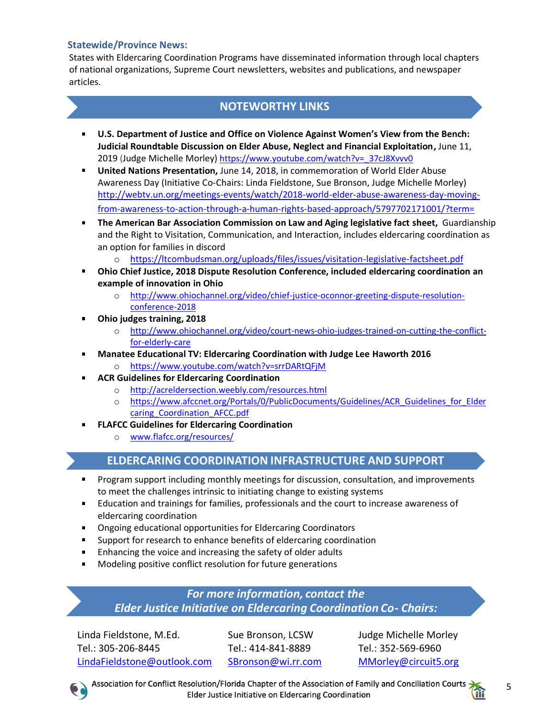#### **Statewide/Province News:**

States with Eldercaring Coordination Programs have disseminated information through local chapters of national organizations, Supreme Court newsletters, websites and publications, and newspaper articles.

## **NOTEWORTHY LINKS**

- **U.S. Department of Justice and Office on Violence Against Women's View from the Bench: Judicial Roundtable Discussion on Elder Abuse, Neglect and Financial Exploitation,** June 11, 2019 (Judge Michelle Morley) [https://www.youtube.com/watch?v=\\_37cJ8Xvvv0](https://www.youtube.com/watch?v=_37cJ8Xvvv0)
- **United Nations Presentation,** June 14, 2018, in commemoration of World Elder Abuse Awareness Day (Initiative Co-Chairs: Linda Fieldstone, Sue Bronson, Judge Michelle Morley) [http://webtv.un.org/meetings-events/watch/2018-world-elder-abuse-awareness-day-moving](http://webtv.un.org/meetings-events/watch/2018-world-elder-abuse-awareness-day-moving-from-awareness-to-action-through-a-human-rights-based-approach/5797702171001/?term=)[from-awareness-to-action-through-a-human-rights-based-approach/5797702171001/?term=](http://webtv.un.org/meetings-events/watch/2018-world-elder-abuse-awareness-day-moving-from-awareness-to-action-through-a-human-rights-based-approach/5797702171001/?term=)
- **The American Bar Association Commission on Law and Aging legislative fact sheet,** Guardianship and the Right to Visitation, Communication, and Interaction, includes eldercaring coordination as an option for families in discord
	- o <https://ltcombudsman.org/uploads/files/issues/visitation-legislative-factsheet.pdf>
- **Ohio Chief Justice, 2018 Dispute Resolution Conference, included eldercaring coordination an example of innovation in Ohio**
	- o [http://www.ohiochannel.org/video/chief-justice-oconnor-greeting-dispute-resolution](http://www.ohiochannel.org/video/chief-justice-oconnor-greeting-dispute-resolution-conference-2018)[conference-2018](http://www.ohiochannel.org/video/chief-justice-oconnor-greeting-dispute-resolution-conference-2018)
- **Ohio judges training, 2018**
	- o [http://www.ohiochannel.org/video/court-news-ohio-judges-trained-on-cutting-the-conflict](http://www.ohiochannel.org/video/court-news-ohio-judges-trained-on-cutting-the-conflict-for-elderly-care)[for-elderly-care](http://www.ohiochannel.org/video/court-news-ohio-judges-trained-on-cutting-the-conflict-for-elderly-care)
	- **Manatee Educational TV: Eldercaring Coordination with Judge Lee Haworth 2016**
		- o <https://www.youtube.com/watch?v=srrDARtQFjM>
- **ACR Guidelines for Eldercaring Coordination**
	- o <http://acreldersection.weebly.com/resources.html>
	- o [https://www.afccnet.org/Portals/0/PublicDocuments/Guidelines/ACR\\_Guidelines\\_for\\_Elder](https://www.afccnet.org/Portals/0/PublicDocuments/Guidelines/ACR_Guidelines_for_Eldercaring_Coordination_AFCC.pdf) [caring\\_Coordination\\_AFCC.pdf](https://www.afccnet.org/Portals/0/PublicDocuments/Guidelines/ACR_Guidelines_for_Eldercaring_Coordination_AFCC.pdf)
- **FLAFCC Guidelines for Eldercaring Coordination**
	- o [www.flafcc.org/resources/](http://www.flafcc.org/resources/)

## **ELDERCARING COORDINATION INFRASTRUCTURE AND SUPPORT**

- **Program support including monthly meetings for discussion, consultation, and improvements** to meet the challenges intrinsic to initiating change to existing systems
- Education and trainings for families, professionals and the court to increase awareness of eldercaring coordination
- **Dimes-** Ongoing educational opportunities for Eldercaring Coordinators
- **Support for research to enhance benefits of eldercaring coordination**
- **Enhancing the voice and increasing the safety of older adults**
- **Modeling positive conflict resolution for future generations**

*For more information, contact the Elder Justice Initiative on Eldercaring Coordination Co- Chairs:* 

Linda Fieldstone, M.Ed. Sue Bronson, LCSW Judge Michelle Morley Tel.: 305-206-8445 Tel.: 414-841-8889 Tel.: 352-569-6960 [LindaFieldstone@outlook.com](mailto:LindaFieldstone@outlook.com) [SBronson@wi.rr.com](mailto:SBronson@wi.rr.com) MMorley@circuit5.org

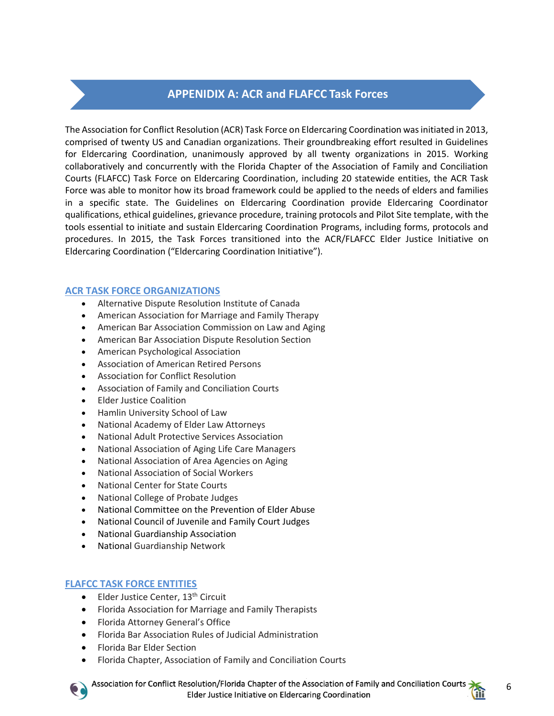## **APPENIDIX A: ACR and FLAFCC Task Forces**

The Association for Conflict Resolution (ACR) Task Force on Eldercaring Coordination was initiated in 2013, comprised of twenty US and Canadian organizations. Their groundbreaking effort resulted in Guidelines for Eldercaring Coordination, unanimously approved by all twenty organizations in 2015. Working collaboratively and concurrently with the Florida Chapter of the Association of Family and Conciliation Courts (FLAFCC) Task Force on Eldercaring Coordination, including 20 statewide entities, the ACR Task Force was able to monitor how its broad framework could be applied to the needs of elders and families in a specific state. The Guidelines on Eldercaring Coordination provide Eldercaring Coordinator qualifications, ethical guidelines, grievance procedure, training protocols and Pilot Site template, with the tools essential to initiate and sustain Eldercaring Coordination Programs, including forms, protocols and procedures. In 2015, the Task Forces transitioned into the ACR/FLAFCC Elder Justice Initiative on Eldercaring Coordination ("Eldercaring Coordination Initiative").

#### **ACR TASK FORCE ORGANIZATIONS**

- Alternative Dispute Resolution Institute of Canada
- American Association for Marriage and Family Therapy
- American Bar Association Commission on Law and Aging
- American Bar Association Dispute Resolution Section
- American Psychological Association
- Association of American Retired Persons
- Association for Conflict Resolution
- Association of Family and Conciliation Courts
- Elder Justice Coalition
- Hamlin University School of Law
- National Academy of Elder Law Attorneys
- National Adult Protective Services Association
- National Association of Aging Life Care Managers
- National Association of Area Agencies on Aging
- National Association of Social Workers
- National Center for State Courts
- National College of Probate Judges
- National Committee on the Prevention of Elder Abuse
- National Council of Juvenile and Family Court Judges
- National Guardianship Association
- National Guardianship Network

#### **FLAFCC TASK FORCE ENTITIES**

- Elder Justice Center, 13<sup>th</sup> Circuit
- Florida Association for Marriage and Family Therapists
- Florida Attorney General's Office
- Florida Bar Association Rules of Judicial Administration
- Florida Bar Elder Section
- Florida Chapter, Association of Family and Conciliation Courts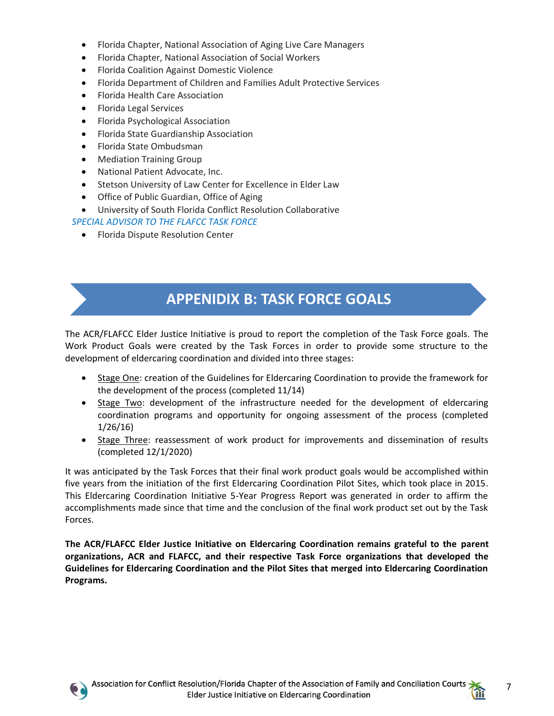- Florida Chapter, National Association of Aging Live Care Managers
- Florida Chapter, National Association of Social Workers
- Florida Coalition Against Domestic Violence
- Florida Department of Children and Families Adult Protective Services
- Florida Health Care Association
- Florida Legal Services
- Florida Psychological Association
- Florida State Guardianship Association
- Florida State Ombudsman
- Mediation Training Group
- National Patient Advocate, Inc.
- Stetson University of Law Center for Excellence in Elder Law
- Office of Public Guardian, Office of Aging
- University of South Florida Conflict Resolution Collaborative
- *SPECIAL ADVISOR TO THE FLAFCC TASK FORCE* 
	- Florida Dispute Resolution Center

## **APPENIDIX B: TASK FORCE GOALS**

The ACR/FLAFCC Elder Justice Initiative is proud to report the completion of the Task Force goals. The Work Product Goals were created by the Task Forces in order to provide some structure to the development of eldercaring coordination and divided into three stages:

- Stage One: creation of the Guidelines for Eldercaring Coordination to provide the framework for the development of the process (completed 11/14)
- Stage Two: development of the infrastructure needed for the development of eldercaring coordination programs and opportunity for ongoing assessment of the process (completed 1/26/16)
- Stage Three: reassessment of work product for improvements and dissemination of results (completed 12/1/2020)

It was anticipated by the Task Forces that their final work product goals would be accomplished within five years from the initiation of the first Eldercaring Coordination Pilot Sites, which took place in 2015. This Eldercaring Coordination Initiative 5-Year Progress Report was generated in order to affirm the accomplishments made since that time and the conclusion of the final work product set out by the Task Forces.

**The ACR/FLAFCC Elder Justice Initiative on Eldercaring Coordination remains grateful to the parent organizations, ACR and FLAFCC, and their respective Task Force organizations that developed the Guidelines for Eldercaring Coordination and the Pilot Sites that merged into Eldercaring Coordination Programs.** 



7